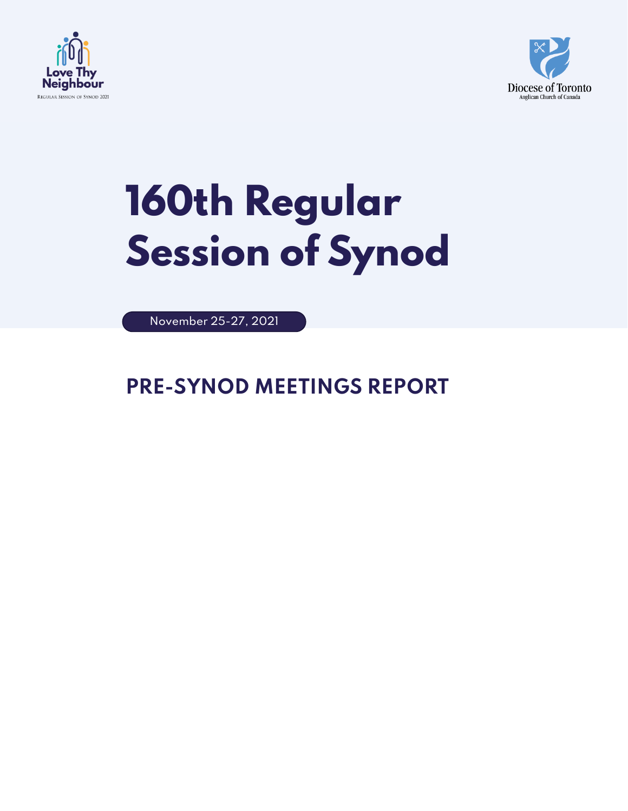



# **160th Regular Session of Synod**

November 25-27, 2021

### **PRE-SYNOD MEETINGS REPORT**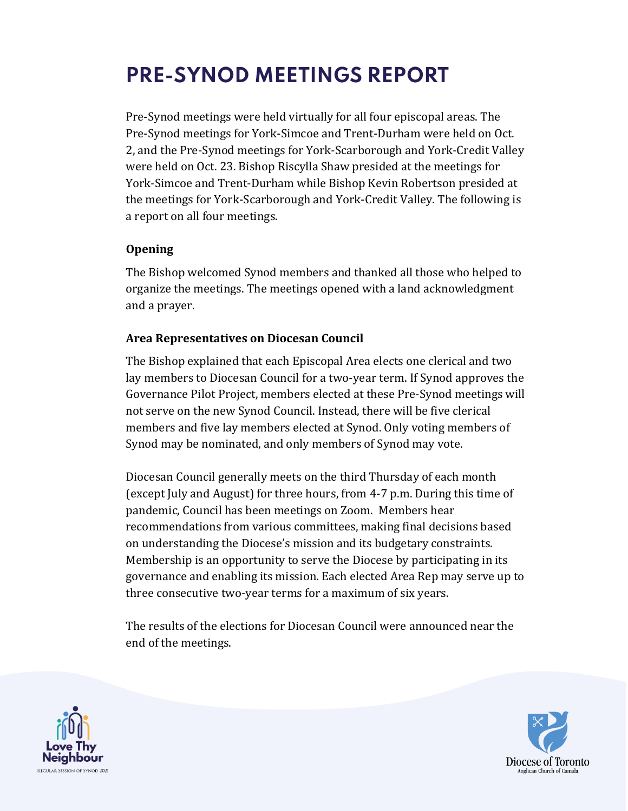## **PRE-SYNOD MEETINGS REPORT**

Pre-Synod meetings were held virtually for all four episcopal areas. The Pre-Synod meetings for York-Simcoe and Trent-Durham were held on Oct. 2, and the Pre-Synod meetings for York-Scarborough and York-Credit Valley were held on Oct. 23. Bishop Riscylla Shaw presided at the meetings for York-Simcoe and Trent-Durham while Bishop Kevin Robertson presided at the meetings for York-Scarborough and York-Credit Valley. The following is a report on all four meetings.

#### **Opening**

The Bishop welcomed Synod members and thanked all those who helped to organize the meetings. The meetings opened with a land acknowledgment and a prayer.

#### **Area Representatives on Diocesan Council**

The Bishop explained that each Episcopal Area elects one clerical and two lay members to Diocesan Council for a two-year term. If Synod approves the Governance Pilot Project, members elected at these Pre-Synod meetings will not serve on the new Synod Council. Instead, there will be five clerical members and five lay members elected at Synod. Only voting members of Synod may be nominated, and only members of Synod may vote.

Diocesan Council generally meets on the third Thursday of each month (except July and August) for three hours, from 4-7 p.m. During this time of pandemic, Council has been meetings on Zoom. Members hear recommendations from various committees, making final decisions based on understanding the Diocese's mission and its budgetary constraints. Membership is an opportunity to serve the Diocese by participating in its governance and enabling its mission. Each elected Area Rep may serve up to three consecutive two-year terms for a maximum of six years.

The results of the elections for Diocesan Council were announced near the end of the meetings.



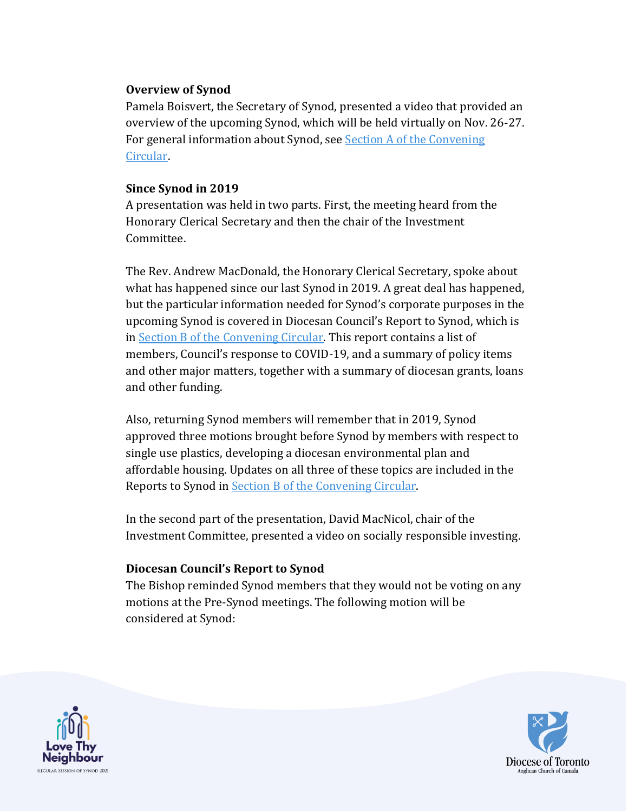#### **Overview of Synod**

Pamela Boisvert, the Secretary of Synod, presented a video that provided an overview of the upcoming Synod, which will be held virtually on Nov. 26-27. For general information about Synod, see **Section A of the Convening** [Circular.](https://www.toronto.anglican.ca/uploads.php?id=614e5d890d22d)

#### **Since Synod in 2019**

A presentation was held in two parts. First, the meeting heard from the Honorary Clerical Secretary and then the chair of the Investment Committee.

The Rev. Andrew MacDonald, the Honorary Clerical Secretary, spoke about what has happened since our last Synod in 2019. A great deal has happened, but the particular information needed for Synod's corporate purposes in the upcoming Synod is covered in Diocesan Council's Report to Synod, which is in [Section B of the Convening Circular.](https://www.toronto.anglican.ca/uploads.php?id=611d2dec10d52) This report contains a list of members, Council's response to COVID-19, and a summary of policy items and other major matters, together with a summary of diocesan grants, loans and other funding.

Also, returning Synod members will remember that in 2019, Synod approved three motions brought before Synod by members with respect to single use plastics, developing a diocesan environmental plan and affordable housing. Updates on all three of these topics are included in the Reports to Synod in [Section B of the Convening Circular.](https://www.toronto.anglican.ca/uploads.php?id=611d2dec10d52)

In the second part of the presentation, David MacNicol, chair of the Investment Committee, presented a video on socially responsible investing.

#### **Diocesan Council's Report to Synod**

The Bishop reminded Synod members that they would not be voting on any motions at the Pre-Synod meetings. The following motion will be considered at Synod:



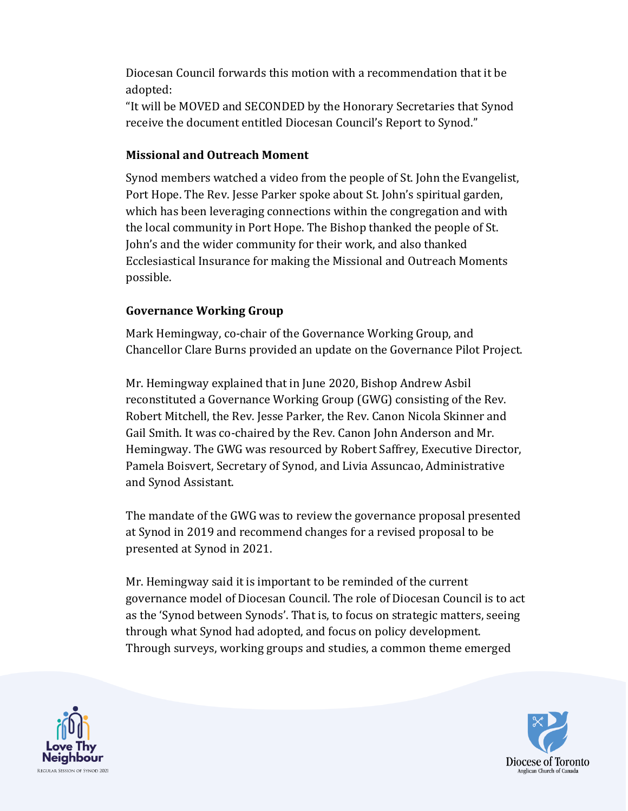Diocesan Council forwards this motion with a recommendation that it be adopted:

"It will be MOVED and SECONDED by the Honorary Secretaries that Synod receive the document entitled Diocesan Council's Report to Synod."

#### **Missional and Outreach Moment**

Synod members watched a video from the people of St. John the Evangelist, Port Hope. The Rev. Jesse Parker spoke about St. John's spiritual garden, which has been leveraging connections within the congregation and with the local community in Port Hope. The Bishop thanked the people of St. John's and the wider community for their work, and also thanked Ecclesiastical Insurance for making the Missional and Outreach Moments possible.

#### **Governance Working Group**

Mark Hemingway, co-chair of the Governance Working Group, and Chancellor Clare Burns provided an update on the Governance Pilot Project.

Mr. Hemingway explained that in June 2020, Bishop Andrew Asbil reconstituted a Governance Working Group (GWG) consisting of the Rev. Robert Mitchell, the Rev. Jesse Parker, the Rev. Canon Nicola Skinner and Gail Smith. It was co-chaired by the Rev. Canon John Anderson and Mr. Hemingway. The GWG was resourced by Robert Saffrey, Executive Director, Pamela Boisvert, Secretary of Synod, and Livia Assuncao, Administrative and Synod Assistant.

The mandate of the GWG was to review the governance proposal presented at Synod in 2019 and recommend changes for a revised proposal to be presented at Synod in 2021.

Mr. Hemingway said it is important to be reminded of the current governance model of Diocesan Council. The role of Diocesan Council is to act as the 'Synod between Synods'. That is, to focus on strategic matters, seeing through what Synod had adopted, and focus on policy development. Through surveys, working groups and studies, a common theme emerged



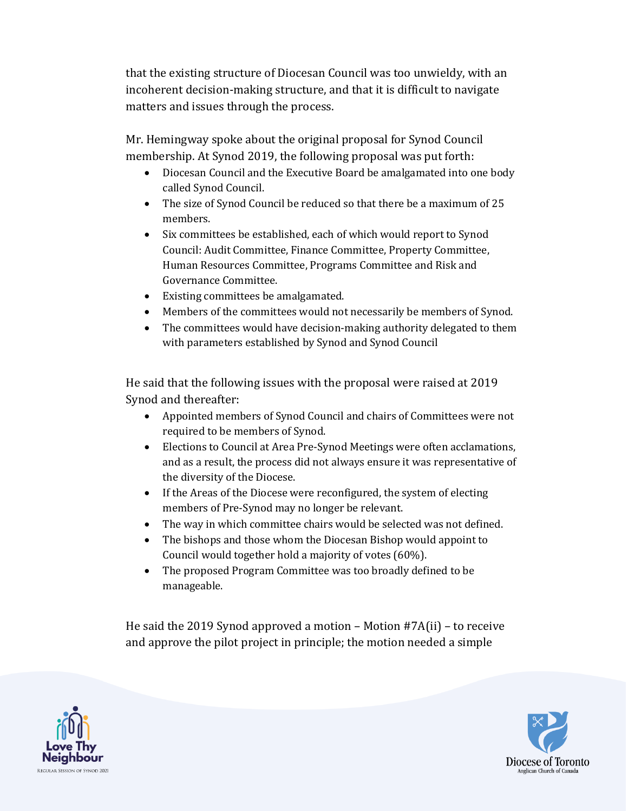that the existing structure of Diocesan Council was too unwieldy, with an incoherent decision-making structure, and that it is difficult to navigate matters and issues through the process.

Mr. Hemingway spoke about the original proposal for Synod Council membership. At Synod 2019, the following proposal was put forth:

- Diocesan Council and the Executive Board be amalgamated into one body called Synod Council.
- The size of Synod Council be reduced so that there be a maximum of 25 members.
- Six committees be established, each of which would report to Synod Council: Audit Committee, Finance Committee, Property Committee, Human Resources Committee, Programs Committee and Risk and Governance Committee.
- Existing committees be amalgamated.
- Members of the committees would not necessarily be members of Synod.
- The committees would have decision-making authority delegated to them with parameters established by Synod and Synod Council

He said that the following issues with the proposal were raised at 2019 Synod and thereafter:

- Appointed members of Synod Council and chairs of Committees were not required to be members of Synod.
- Elections to Council at Area Pre-Synod Meetings were often acclamations, and as a result, the process did not always ensure it was representative of the diversity of the Diocese.
- If the Areas of the Diocese were reconfigured, the system of electing members of Pre-Synod may no longer be relevant.
- The way in which committee chairs would be selected was not defined.
- The bishops and those whom the Diocesan Bishop would appoint to Council would together hold a majority of votes (60%).
- The proposed Program Committee was too broadly defined to be manageable.

He said the 2019 Synod approved a motion – Motion #7A(ii) – to receive and approve the pilot project in principle; the motion needed a simple



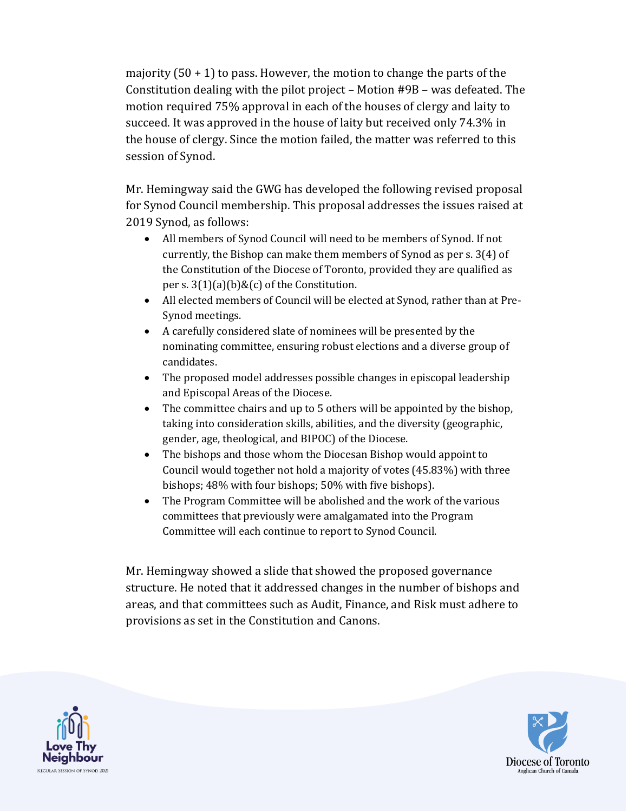majority  $(50 + 1)$  to pass. However, the motion to change the parts of the Constitution dealing with the pilot project – Motion #9B – was defeated. The motion required 75% approval in each of the houses of clergy and laity to succeed. It was approved in the house of laity but received only 74.3% in the house of clergy. Since the motion failed, the matter was referred to this session of Synod.

Mr. Hemingway said the GWG has developed the following revised proposal for Synod Council membership. This proposal addresses the issues raised at 2019 Synod, as follows:

- All members of Synod Council will need to be members of Synod. If not currently, the Bishop can make them members of Synod as per s. 3(4) of the Constitution of the Diocese of Toronto, provided they are qualified as per s.  $3(1)(a)(b)$ &(c) of the Constitution.
- All elected members of Council will be elected at Synod, rather than at Pre-Synod meetings.
- A carefully considered slate of nominees will be presented by the nominating committee, ensuring robust elections and a diverse group of candidates.
- The proposed model addresses possible changes in episcopal leadership and Episcopal Areas of the Diocese.
- The committee chairs and up to 5 others will be appointed by the bishop, taking into consideration skills, abilities, and the diversity (geographic, gender, age, theological, and BIPOC) of the Diocese.
- The bishops and those whom the Diocesan Bishop would appoint to Council would together not hold a majority of votes (45.83%) with three bishops; 48% with four bishops; 50% with five bishops).
- The Program Committee will be abolished and the work of the various committees that previously were amalgamated into the Program Committee will each continue to report to Synod Council.

Mr. Hemingway showed a slide that showed the proposed governance structure. He noted that it addressed changes in the number of bishops and areas, and that committees such as Audit, Finance, and Risk must adhere to provisions as set in the Constitution and Canons.



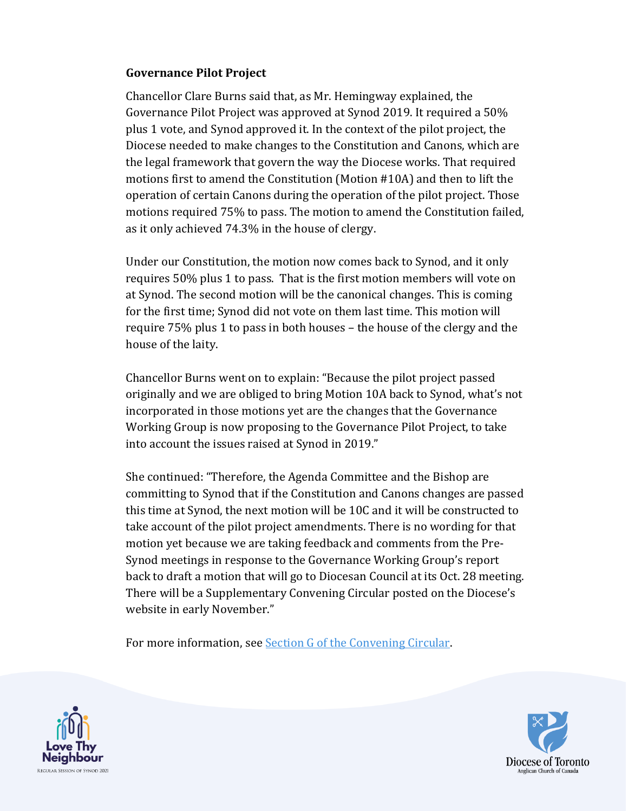#### **Governance Pilot Project**

Chancellor Clare Burns said that, as Mr. Hemingway explained, the Governance Pilot Project was approved at Synod 2019. It required a 50% plus 1 vote, and Synod approved it. In the context of the pilot project, the Diocese needed to make changes to the Constitution and Canons, which are the legal framework that govern the way the Diocese works. That required motions first to amend the Constitution (Motion #10A) and then to lift the operation of certain Canons during the operation of the pilot project. Those motions required 75% to pass. The motion to amend the Constitution failed, as it only achieved 74.3% in the house of clergy.

Under our Constitution, the motion now comes back to Synod, and it only requires 50% plus 1 to pass. That is the first motion members will vote on at Synod. The second motion will be the canonical changes. This is coming for the first time; Synod did not vote on them last time. This motion will require 75% plus 1 to pass in both houses – the house of the clergy and the house of the laity.

Chancellor Burns went on to explain: "Because the pilot project passed originally and we are obliged to bring Motion 10A back to Synod, what's not incorporated in those motions yet are the changes that the Governance Working Group is now proposing to the Governance Pilot Project, to take into account the issues raised at Synod in 2019."

She continued: "Therefore, the Agenda Committee and the Bishop are committing to Synod that if the Constitution and Canons changes are passed this time at Synod, the next motion will be 10C and it will be constructed to take account of the pilot project amendments. There is no wording for that motion yet because we are taking feedback and comments from the Pre-Synod meetings in response to the Governance Working Group's report back to draft a motion that will go to Diocesan Council at its Oct. 28 meeting. There will be a Supplementary Convening Circular posted on the Diocese's website in early November."

For more information, see [Section G of the Convening Circular.](https://www.toronto.anglican.ca/uploads.php?id=5dbc6050d4052)



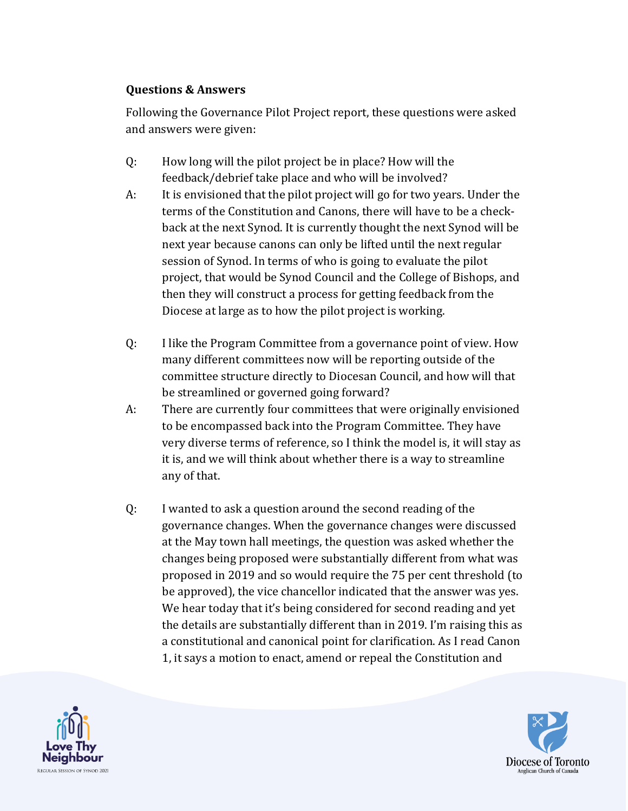#### **Questions & Answers**

Following the Governance Pilot Project report, these questions were asked and answers were given:

- Q: How long will the pilot project be in place? How will the feedback/debrief take place and who will be involved?
- A: It is envisioned that the pilot project will go for two years. Under the terms of the Constitution and Canons, there will have to be a checkback at the next Synod. It is currently thought the next Synod will be next year because canons can only be lifted until the next regular session of Synod. In terms of who is going to evaluate the pilot project, that would be Synod Council and the College of Bishops, and then they will construct a process for getting feedback from the Diocese at large as to how the pilot project is working.
- Q: I like the Program Committee from a governance point of view. How many different committees now will be reporting outside of the committee structure directly to Diocesan Council, and how will that be streamlined or governed going forward?
- A: There are currently four committees that were originally envisioned to be encompassed back into the Program Committee. They have very diverse terms of reference, so I think the model is, it will stay as it is, and we will think about whether there is a way to streamline any of that.
- Q: I wanted to ask a question around the second reading of the governance changes. When the governance changes were discussed at the May town hall meetings, the question was asked whether the changes being proposed were substantially different from what was proposed in 2019 and so would require the 75 per cent threshold (to be approved), the vice chancellor indicated that the answer was yes. We hear today that it's being considered for second reading and yet the details are substantially different than in 2019. I'm raising this as a constitutional and canonical point for clarification. As I read Canon 1, it says a motion to enact, amend or repeal the Constitution and



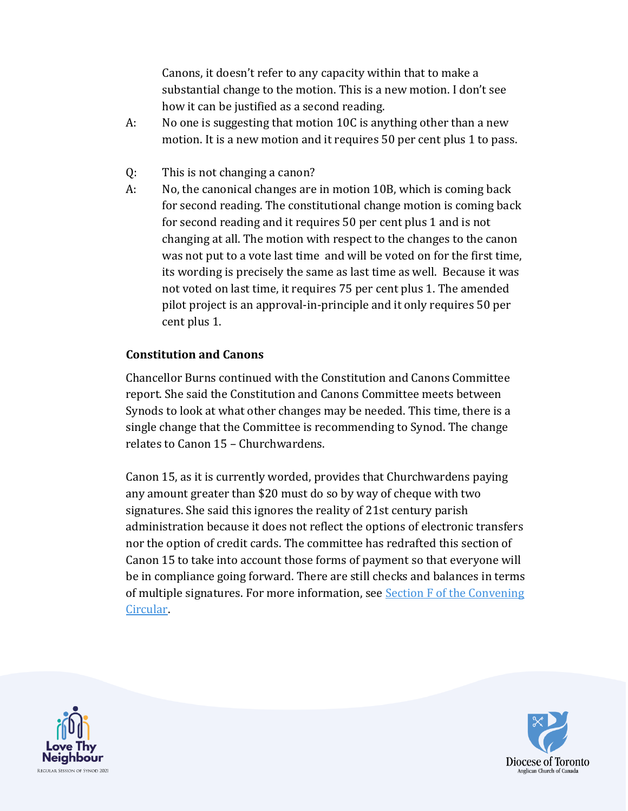Canons, it doesn't refer to any capacity within that to make a substantial change to the motion. This is a new motion. I don't see how it can be justified as a second reading.

- A: No one is suggesting that motion 10C is anything other than a new motion. It is a new motion and it requires 50 per cent plus 1 to pass.
- Q: This is not changing a canon?
- A: No, the canonical changes are in motion 10B, which is coming back for second reading. The constitutional change motion is coming back for second reading and it requires 50 per cent plus 1 and is not changing at all. The motion with respect to the changes to the canon was not put to a vote last time and will be voted on for the first time, its wording is precisely the same as last time as well. Because it was not voted on last time, it requires 75 per cent plus 1. The amended pilot project is an approval-in-principle and it only requires 50 per cent plus 1.

#### **Constitution and Canons**

Chancellor Burns continued with the Constitution and Canons Committee report. She said the Constitution and Canons Committee meets between Synods to look at what other changes may be needed. This time, there is a single change that the Committee is recommending to Synod. The change relates to Canon 15 – Churchwardens.

Canon 15, as it is currently worded, provides that Churchwardens paying any amount greater than \$20 must do so by way of cheque with two signatures. She said this ignores the reality of 21st century parish administration because it does not reflect the options of electronic transfers nor the option of credit cards. The committee has redrafted this section of Canon 15 to take into account those forms of payment so that everyone will be in compliance going forward. There are still checks and balances in terms of multiple signatures. For more information, see [Section F of the Convening](https://www.toronto.anglican.ca/uploads.php?id=614de8d43e98b)  [Circular.](https://www.toronto.anglican.ca/uploads.php?id=614de8d43e98b)



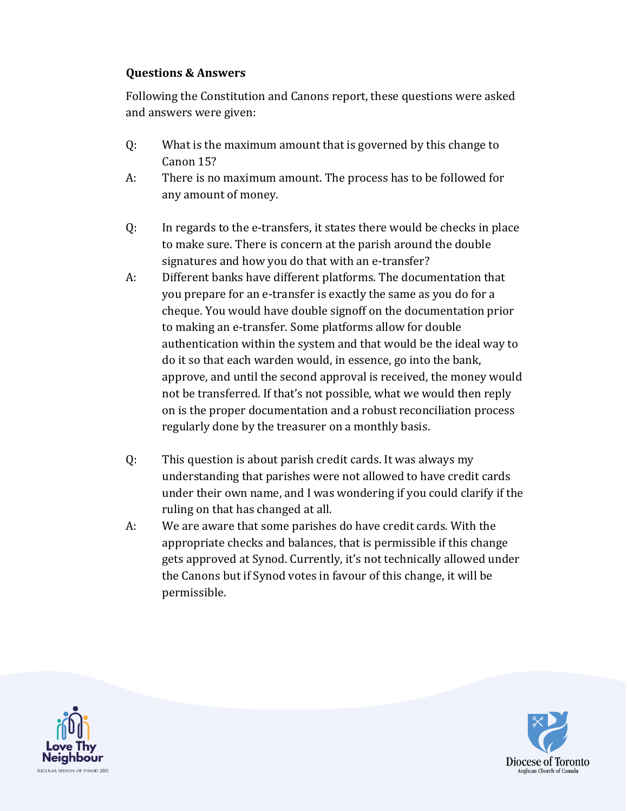#### **Questions & Answers**

Following the Constitution and Canons report, these questions were asked and answers were given:

- Q: What is the maximum amount that is governed by this change to Canon 15?
- A: There is no maximum amount. The process has to be followed for any amount of money.
- Q: In regards to the e-transfers, it states there would be checks in place to make sure. There is concern at the parish around the double signatures and how you do that with an e-transfer?
- A: Different banks have different platforms. The documentation that you prepare for an e-transfer is exactly the same as you do for a cheque. You would have double signoff on the documentation prior to making an e-transfer. Some platforms allow for double authentication within the system and that would be the ideal way to do it so that each warden would, in essence, go into the bank, approve, and until the second approval is received, the money would not be transferred. If that's not possible, what we would then reply on is the proper documentation and a robust reconciliation process regularly done by the treasurer on a monthly basis.
- Q: This question is about parish credit cards. It was always my understanding that parishes were not allowed to have credit cards under their own name, and I was wondering if you could clarify if the ruling on that has changed at all.
- A: We are aware that some parishes do have credit cards. With the appropriate checks and balances, that is permissible if this change gets approved at Synod. Currently, it's not technically allowed under the Canons but if Synod votes in favour of this change, it will be permissible.



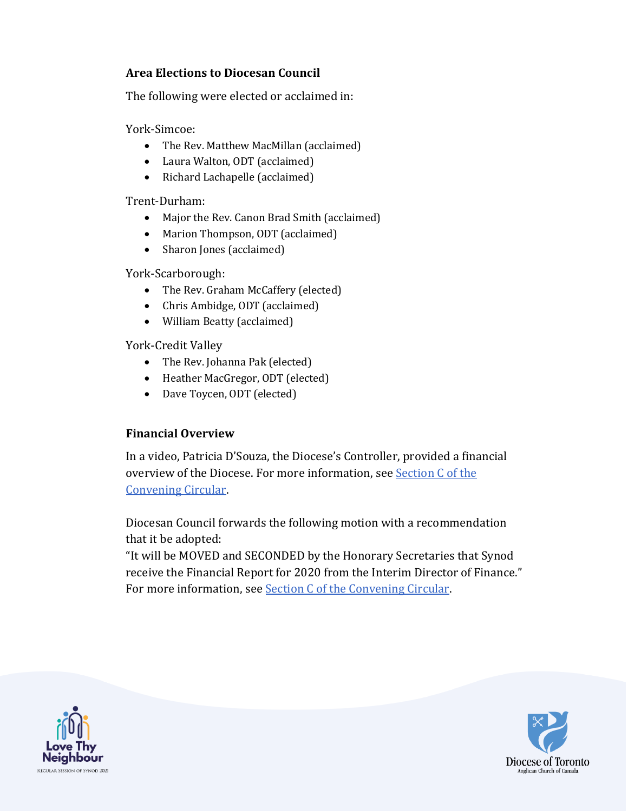#### **Area Elections to Diocesan Council**

The following were elected or acclaimed in:

York-Simcoe:

- The Rev. Matthew MacMillan (acclaimed)
- Laura Walton, ODT (acclaimed)
- Richard Lachapelle (acclaimed)

Trent-Durham:

- Major the Rev. Canon Brad Smith (acclaimed)
- Marion Thompson, ODT (acclaimed)
- Sharon Jones (acclaimed)

York-Scarborough:

- The Rev. Graham McCaffery (elected)
- Chris Ambidge, ODT (acclaimed)
- William Beatty (acclaimed)

York-Credit Valley

- The Rev. Johanna Pak (elected)
- Heather MacGregor, ODT (elected)
- Dave Toycen, ODT (elected)

#### **Financial Overview**

In a video, Patricia D'Souza, the Diocese's Controller, provided a financial overview of the Diocese. For more information, see [Section C of the](https://www.toronto.anglican.ca/uploads.php?id=614dfacd9e6fa)  [Convening Circular.](https://www.toronto.anglican.ca/uploads.php?id=614dfacd9e6fa)

Diocesan Council forwards the following motion with a recommendation that it be adopted:

"It will be MOVED and SECONDED by the Honorary Secretaries that Synod receive the Financial Report for 2020 from the Interim Director of Finance." For more information, see [Section C of the Convening Circular.](https://www.toronto.anglican.ca/uploads.php?id=614dfacd9e6fa)



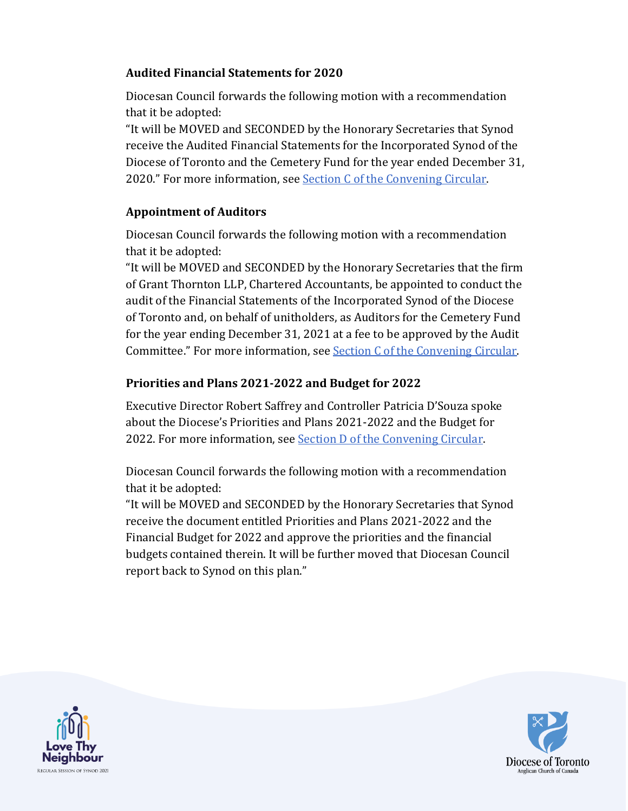#### **Audited Financial Statements for 2020**

Diocesan Council forwards the following motion with a recommendation that it be adopted:

"It will be MOVED and SECONDED by the Honorary Secretaries that Synod receive the Audited Financial Statements for the Incorporated Synod of the Diocese of Toronto and the Cemetery Fund for the year ended December 31, 2020." For more information, see [Section C of the Convening Circular.](https://www.toronto.anglican.ca/uploads.php?id=614dfacd9e6fa)

#### **Appointment of Auditors**

Diocesan Council forwards the following motion with a recommendation that it be adopted:

"It will be MOVED and SECONDED by the Honorary Secretaries that the firm of Grant Thornton LLP, Chartered Accountants, be appointed to conduct the audit of the Financial Statements of the Incorporated Synod of the Diocese of Toronto and, on behalf of unitholders, as Auditors for the Cemetery Fund for the year ending December 31, 2021 at a fee to be approved by the Audit Committee." For more information, se[e Section C of the Convening Circular.](https://www.toronto.anglican.ca/uploads.php?id=614dfacd9e6fa)

#### **Priorities and Plans 2021-2022 and Budget for 2022**

Executive Director Robert Saffrey and Controller Patricia D'Souza spoke about the Diocese's Priorities and Plans 2021-2022 and the Budget for 2022. For more information, se[e Section D of the Convening Circular.](https://www.toronto.anglican.ca/uploads.php?id=614e119889f19)

Diocesan Council forwards the following motion with a recommendation that it be adopted:

"It will be MOVED and SECONDED by the Honorary Secretaries that Synod receive the document entitled Priorities and Plans 2021-2022 and the Financial Budget for 2022 and approve the priorities and the financial budgets contained therein. It will be further moved that Diocesan Council report back to Synod on this plan."



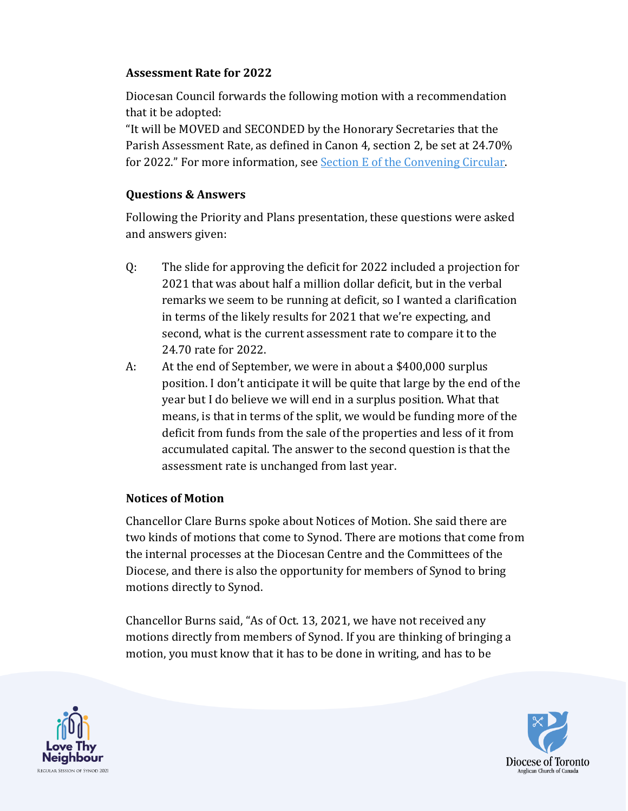#### **Assessment Rate for 2022**

Diocesan Council forwards the following motion with a recommendation that it be adopted:

"It will be MOVED and SECONDED by the Honorary Secretaries that the Parish Assessment Rate, as defined in Canon 4, section 2, be set at 24.70% for 2022." For more information, se[e Section E of the Convening Circular.](https://www.toronto.anglican.ca/uploads.php?id=614e0534b5855)

#### **Questions & Answers**

Following the Priority and Plans presentation, these questions were asked and answers given:

- Q: The slide for approving the deficit for 2022 included a projection for 2021 that was about half a million dollar deficit, but in the verbal remarks we seem to be running at deficit, so I wanted a clarification in terms of the likely results for 2021 that we're expecting, and second, what is the current assessment rate to compare it to the 24.70 rate for 2022.
- A: At the end of September, we were in about a \$400,000 surplus position. I don't anticipate it will be quite that large by the end of the year but I do believe we will end in a surplus position. What that means, is that in terms of the split, we would be funding more of the deficit from funds from the sale of the properties and less of it from accumulated capital. The answer to the second question is that the assessment rate is unchanged from last year.

#### **Notices of Motion**

Chancellor Clare Burns spoke about Notices of Motion. She said there are two kinds of motions that come to Synod. There are motions that come from the internal processes at the Diocesan Centre and the Committees of the Diocese, and there is also the opportunity for members of Synod to bring motions directly to Synod.

Chancellor Burns said, "As of Oct. 13, 2021, we have not received any motions directly from members of Synod. If you are thinking of bringing a motion, you must know that it has to be done in writing, and has to be



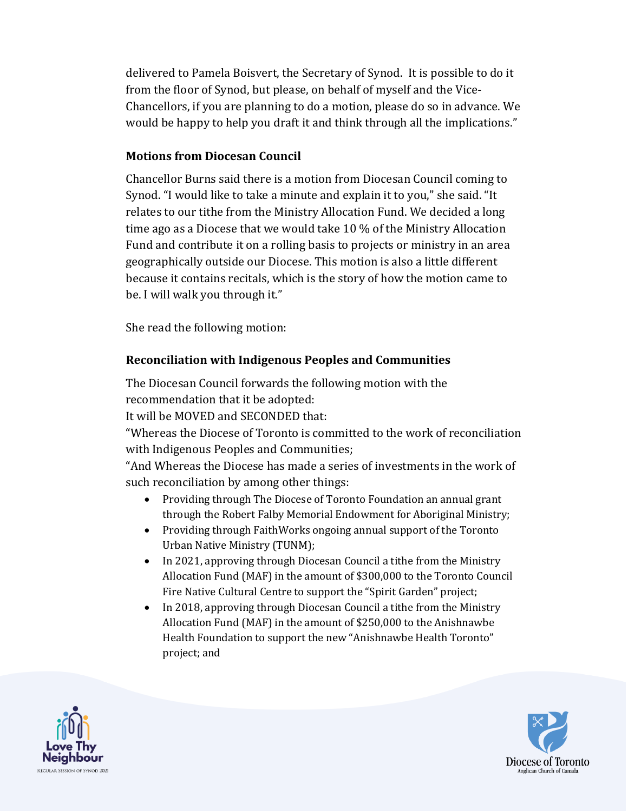delivered to Pamela Boisvert, the Secretary of Synod. It is possible to do it from the floor of Synod, but please, on behalf of myself and the Vice-Chancellors, if you are planning to do a motion, please do so in advance. We would be happy to help you draft it and think through all the implications."

#### **Motions from Diocesan Council**

Chancellor Burns said there is a motion from Diocesan Council coming to Synod. "I would like to take a minute and explain it to you," she said. "It relates to our tithe from the Ministry Allocation Fund. We decided a long time ago as a Diocese that we would take 10 % of the Ministry Allocation Fund and contribute it on a rolling basis to projects or ministry in an area geographically outside our Diocese. This motion is also a little different because it contains recitals, which is the story of how the motion came to be. I will walk you through it."

She read the following motion:

#### **Reconciliation with Indigenous Peoples and Communities**

The Diocesan Council forwards the following motion with the recommendation that it be adopted:

It will be MOVED and SECONDED that:

"Whereas the Diocese of Toronto is committed to the work of reconciliation with Indigenous Peoples and Communities;

"And Whereas the Diocese has made a series of investments in the work of such reconciliation by among other things:

- Providing through The Diocese of Toronto Foundation an annual grant through the Robert Falby Memorial Endowment for Aboriginal Ministry;
- Providing through FaithWorks ongoing annual support of the Toronto Urban Native Ministry (TUNM);
- In 2021, approving through Diocesan Council a tithe from the Ministry Allocation Fund (MAF) in the amount of \$300,000 to the Toronto Council Fire Native Cultural Centre to support the "Spirit Garden" project;
- In 2018, approving through Diocesan Council a tithe from the Ministry Allocation Fund (MAF) in the amount of \$250,000 to the Anishnawbe Health Foundation to support the new "Anishnawbe Health Toronto" project; and